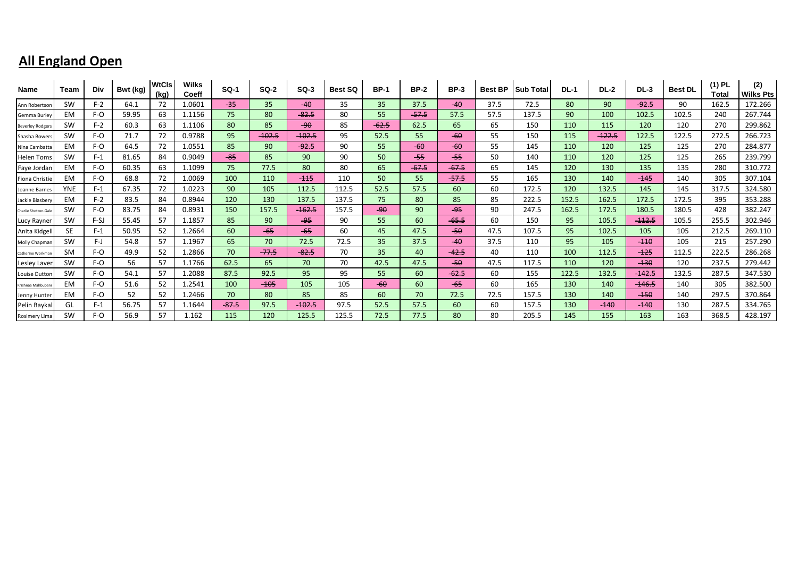| <b>Name</b>            | Team       | Div    | Bwt (kg) | <b>WtCls</b><br>(kg) | <b>Wilks</b><br>Coeff | $SO-1$  | <b>SQ-2</b>     | $SO-3$   | <b>Best SQ</b> | <b>BP-1</b> | <b>BP-2</b> | <b>BP-3</b> | <b>Best BP</b> | <b>Sub Total</b> | <b>DL-1</b> | <b>DL-2</b> | $DL-3$   | <b>Best DL</b> | $(1)$ PL<br>Total | (2)<br><b>Wilks Pts</b> |
|------------------------|------------|--------|----------|----------------------|-----------------------|---------|-----------------|----------|----------------|-------------|-------------|-------------|----------------|------------------|-------------|-------------|----------|----------------|-------------------|-------------------------|
| Ann Robertsor          | <b>SW</b>  | $F-2$  | 64.1     | 72                   | 1.0601                | $-35$   | 35 <sub>1</sub> | $-40$    | 35             | 35          | 37.5        | $-40$       | 37.5           | 72.5             | 80          | 90          | $-92.5$  | 90             | 162.5             | 172.266                 |
| Gemma Burley           | <b>EM</b>  | F-O    | 59.95    | 63                   | 1.1156                | 75.     | 80              | $-82.5$  | 80             | 55          | $-57.5$     | 57.5        | 57.5           | 137.5            | 90          | 100         | 102.5    | 102.5          | 240               | 267.744                 |
| <b>Beverley Rodger</b> | SW         | $F-2$  | 60.3     | 63                   | 1.1106                | 80      | 85              | $-90$    | 85             | $-62.5$     | 62.5        | 65          | 65             | 150              | 110         | 115         | 120      | 120            | 270               | 299.862                 |
| Shasha Bower           | <b>SW</b>  | F-O    | 71.7     | 72                   | 0.9788                | 95      | $-102.5$        | $-102.5$ | 95             | 52.5        | 55          | $-60$       | 55             | 150              | 115         | $-122.5$    | 122.5    | 122.5          | 272.5             | 266.723                 |
| Nina Cambatta          | <b>EM</b>  | F-O    | 64.5     | 72                   | 1.0551                | 85      | 90              | $-92.5$  | 90             | 55          | $-60$       | $-60$       | 55             | 145              | 110         | 120         | 125      | 125            | 270               | 284.877                 |
| Helen Toms             | <b>SW</b>  | $F-1$  | 81.65    | 84                   | 0.9049                | $-85$   | 85              | 90       | 90             | 50          | $-55$       | $-55$       | 50             | 140              | 110         | 120         | 125      | 125            | 265               | 239.799                 |
| Faye Jordar            | EM         | F-O    | 60.35    | 63                   | 1.1099                | 75      | 77.5            | 80       | 80             | 65          | $-67.5$     | $-67.5$     | 65             | 145              | 120         | 130         | 135      | 135            | 280               | 310.772                 |
| Fiona Christie         | <b>EM</b>  | F-O    | 68.8     | 72                   | 1.0069                | 100     | 110             | $-115$   | 110            | 50          | 55          | $-57.5$     | 55             | 165              | 130         | 140         | $-145$   | 140            | 305               | 307.104                 |
| Joanne Barnes          | <b>YNE</b> | $F-1$  | 67.35    | 72                   | 1.0223                | 90      | 105             | 112.5    | 112.5          | 52.5        | 57.5        | 60          | 60             | 172.5            | 120         | 132.5       | 145      | 145            | 317.5             | 324.580                 |
| Jackie Blasbery        | <b>EM</b>  | $F-2$  | 83.5     | 84                   | 0.8944                | 120     | 130             | 137.5    | 137.5          | 75          | 80          | 85          | 85             | 222.5            | 152.5       | 162.5       | 172.5    | 172.5          | 395               | 353.288                 |
| Charlie Shotton-Gal    | SW         | F-O    | 83.75    | 84                   | 0.8931                | 150     | 157.5           | $-162.5$ | 157.5          | $-90$       | 90          | $-95$       | 90             | 247.5            | 162.5       | 172.5       | 180.5    | 180.5          | 428               | 382.247                 |
| Lucy Rayner            | SW         | $F-SJ$ | 55.45    | 57                   | 1.1857                | 85      | 90              | -95      | 90             | 55          | 60          | $-65.5$     | 60             | 150              | 95          | 105.5       | $-112.5$ | 105.5          | 255.5             | 302.946                 |
| Anita Kidgel           | <b>SE</b>  | $F-1$  | 50.95    | 52                   | 1.2664                | 60      | $-65$           | $-65$    | 60             | 45          | 47.5        | $-50$       | 47.5           | 107.5            | 95          | 102.5       | 105      | 105            | 212.5             | 269.110                 |
| Molly Chapmar          | SW         | F-J    | 54.8     | 57                   | 1.1967                | 65      | 70              | 72.5     | 72.5           | 35          | 37.5        | $-40$       | 37.5           | 110              | 95          | 105         | $-110$   | 105            | 215               | 257.290                 |
| Catherine Workma       | SM         | F-O    | 49.9     | 52                   | 1.2866                | 70      | $-77.5$         | $-82.5$  | 70             | 35          | 40          | $-42.5$     | 40             | 110              | 100         | 112.5       | $-125$   | 112.5          | 222.5             | 286.268                 |
| <b>Lesley Laver</b>    | SW         | F-O    | 56       | 57                   | 1.1766                | 62.5    | 65              | 70       | 70             | 42.5        | 47.5        | $-50$       | 47.5           | 117.5            | 110         | 120         | $-130$   | 120            | 237.5             | 279.442                 |
| Louise Duttor          | <b>SW</b>  | F-O    | 54.1     | 57                   | 1.2088                | 87.5    | 92.5            | 95       | 95             | 55          | 60          | $-62.5$     | 60             | 155              | 122.5       | 132.5       | $-142.5$ | 132.5          | 287.5             | 347.530                 |
| Krishnaa Mahbuba       | <b>EM</b>  | F-O    | 51.6     | 52                   | 1.2541                | 100     | $-105$          | 105      | 105            | $-60$       | 60          | $-65$       | 60             | 165              | 130         | 140         | $-146.5$ | 140            | 305               | 382.500                 |
| Jenny Hunte            | EM         | F-O    | 52       | 52                   | 1.2466                | 70      | 80              | 85       | 85             | 60          | 70          | 72.5        | 72.5           | 157.5            | 130         | 140         | $-150$   | 140            | 297.5             | 370.864                 |
| Pelin Bayka            | GL         | $F-1$  | 56.75    | 57                   | 1.1644                | $-87.5$ | 97.5            | $-102.5$ | 97.5           | 52.5        | 57.5        | 60          | 60             | 157.5            | 130         | $-140$      | $-140$   | 130            | 287.5             | 334.765                 |
| Rosimery Lima          | <b>SW</b>  | F-O    | 56.9     | 57                   | 1.162                 | 115     | 120             | 125.5    | 125.5          | 72.5        | 77.5        | 80          | 80             | 205.5            | 145         | 155         | 163      | 163            | 368.5             | 428.197                 |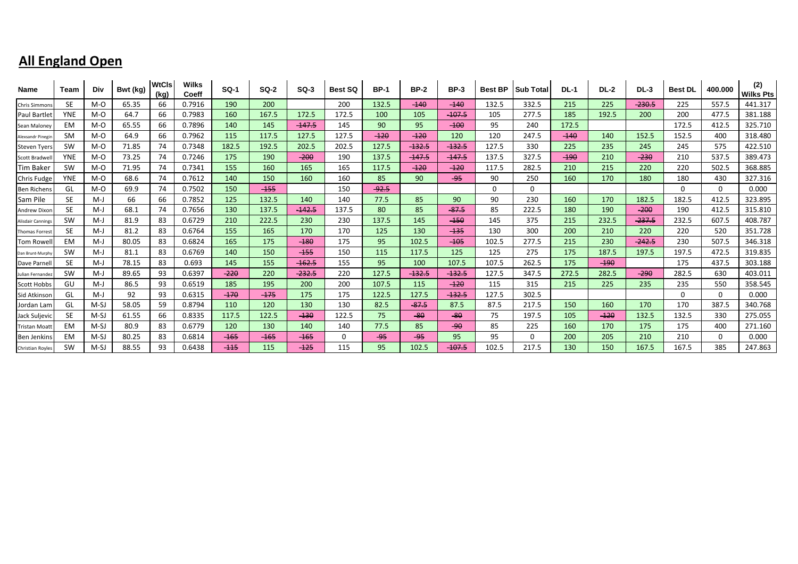| Name                 | Team       | Div    | Bwt (kg) | <b>WtCls</b><br>(kg) | <b>Wilks</b><br>Coeff | <b>SQ-1</b> | $SO-2$ | $SO-3$   | <b>Best SQ</b> | <b>BP-1</b> | <b>BP-2</b> | <b>BP-3</b> | <b>Best BP</b> | <b>Sub Total</b> | <b>DL-1</b> | <b>DL-2</b> | <b>DL-3</b> | <b>Best DL</b> | 400.000  | (2)<br><b>Wilks Pts</b> |
|----------------------|------------|--------|----------|----------------------|-----------------------|-------------|--------|----------|----------------|-------------|-------------|-------------|----------------|------------------|-------------|-------------|-------------|----------------|----------|-------------------------|
| Chris Simmons        | SE.        | M-O    | 65.35    | 66                   | 0.7916                | 190         | 200    |          | 200            | 132.5       | $-140$      | $-140$      | 132.5          | 332.5            | 215         | 225         | $-230.5$    | 225            | 557.5    | 441.317                 |
| Paul Bartlet         | <b>YNE</b> | M-O    | 64.7     | 66                   | 0.7983                | 160         | 167.5  | 172.5    | 172.5          | 100         | 105         | $-107.5$    | 105            | 277.5            | 185         | 192.5       | 200         | 200            | 477.5    | 381.188                 |
| Sean Maloney         | EM         | M-O    | 65.55    | 66                   | 0.7896                | 140         | 145    | $-147.5$ | 145            | 90          | 95          | $-100$      | 95             | 240              | 172.5       |             |             | 172.5          | 412.5    | 325.710                 |
| Alexsandr Pinegin    | <b>SM</b>  | M-O    | 64.9     | 66                   | 0.7962                | 115         | 117.5  | 127.5    | 127.5          | $-120$      | $-120$      | 120         | 120            | 247.5            | $-140$      | 140         | 152.5       | 152.5          | 400      | 318.480                 |
| <b>Steven Tyers</b>  | <b>SW</b>  | M-O    | 71.85    | 74                   | 0.7348                | 182.5       | 192.5  | 202.5    | 202.5          | 127.5       | $-132.5$    | $-132.5$    | 127.5          | 330              | 225         | 235         | 245         | 245            | 575      | 422.510                 |
| Scott Bradwel        | <b>YNE</b> | M-O    | 73.25    | 74                   | 0.7246                | 175         | 190    | $-200$   | 190            | 137.5       | $-147.5$    | $-147.5$    | 137.5          | 327.5            | $-190$      | 210         | $-230$      | 210            | 537.5    | 389.473                 |
| Tim Bakeı            | SW         | M-O    | 71.95    | 74                   | 0.7341                | 155         | 160    | 165      | 165            | 117.5       | $-120$      | $-120$      | 117.5          | 282.5            | 210         | 215         | 220         | 220            | 502.5    | 368.885                 |
| <b>Chris Fudge</b>   | <b>YNE</b> | M-O    | 68.6     | 74                   | 0.7612                | 140         | 150    | 160      | 160            | 85          | 90          | $-95$       | 90             | 250              | 160         | 170         | 180         | 180            | 430      | 327.316                 |
| <b>Ben Richen</b>    | GL         | M-O    | 69.9     | 74                   | 0.7502                | 150         | $-455$ |          | 150            | $-92.5$     |             |             | 0              | 0                |             |             |             | $\Omega$       | $\Omega$ | 0.000                   |
| Sam Pile             | <b>SE</b>  | M-J    | 66       | 66                   | 0.7852                | 125         | 132.5  | 140      | 140            | 77.5        | 85          | 90          | 90             | 230              | 160         | 170         | 182.5       | 182.5          | 412.5    | 323.895                 |
| Andrew Dixon         | <b>SE</b>  | $M-J$  | 68.1     | 74                   | 0.7656                | 130         | 137.5  | $-142.5$ | 137.5          | 80          | 85          | $-87.5$     | 85             | 222.5            | 180         | 190         | $-200$      | 190            | 412.5    | 315.810                 |
| Alisdair Canning:    | SW         | $M-J$  | 81.9     | 83                   | 0.6729                | 210         | 222.5  | 230      | 230            | 137.5       | 145         | $-150$      | 145            | 375              | 215         | 232.5       | $-237.5$    | 232.5          | 607.5    | 408.787                 |
| <b>Thomas Forres</b> | <b>SE</b>  | $M-J$  | 81.2     | 83                   | 0.6764                | 155         | 165    | 170      | 170            | 125         | 130         | $-135$      | 130            | 300              | 200         | 210         | 220         | 220            | 520      | 351.728                 |
| <b>Tom Rowel</b>     | EM         | $M-J$  | 80.05    | 83                   | 0.6824                | 165         | 175    | $-180$   | 175            | 95          | 102.5       | $-105$      | 102.5          | 277.5            | 215         | 230         | $-242.5$    | 230            | 507.5    | 346.318                 |
| Dan Brunt-Murphy     | SW         | $M-J$  | 81.1     | 83                   | 0.6769                | 140         | 150    | $-155$   | 150            | 115         | 117.5       | 125         | 125            | 275              | 175         | 187.5       | 197.5       | 197.5          | 472.5    | 319.835                 |
| Dave Parnel          | <b>SE</b>  | $M-J$  | 78.15    | 83                   | 0.693                 | 145         | 155    | $-162.5$ | 155            | 95          | 100         | 107.5       | 107.5          | 262.5            | 175         | $-190$      |             | 175            | 437.5    | 303.188                 |
| Julian Fernande:     | <b>SW</b>  | $M-J$  | 89.65    | 93                   | 0.6397                | $-220$      | 220    | $-232.5$ | 220            | 127.5       | $-132.5$    | $-132.5$    | 127.5          | 347.5            | 272.5       | 282.5       | $-290$      | 282.5          | 630      | 403.011                 |
| <b>Scott Hobbs</b>   | GU         | $M-J$  | 86.5     | 93                   | 0.6519                | 185         | 195    | 200      | 200            | 107.5       | 115         | $-120$      | 115            | 315              | 215         | 225         | 235         | 235            | 550      | 358.545                 |
| <b>Sid Atkinsor</b>  | GL         | $M-J$  | 92       | 93                   | 0.6315                | $-170$      | $-175$ | 175      | 175            | 122.5       | 127.5       | $-132.5$    | 127.5          | 302.5            |             |             |             | $\Omega$       | $\Omega$ | 0.000                   |
| Jordan Lam           | GL         | M-SJ   | 58.05    | 59                   | 0.8794                | 110         | 120    | 130      | 130            | 82.5        | $-87.5$     | 87.5        | 87.5           | 217.5            | 150         | 160         | 170         | 170            | 387.5    | 340.768                 |
| Jack Suljevio        | <b>SE</b>  | $M-SJ$ | 61.55    | 66                   | 0.8335                | 117.5       | 122.5  | $-130$   | 122.5          | 75          | $-80$       | $-80$       | 75             | 197.5            | 105         | $-120$      | 132.5       | 132.5          | 330      | 275.055                 |
| <b>Tristan Moatt</b> | EM         | M-SJ   | 80.9     | 83                   | 0.6779                | 120         | 130    | 140      | 140            | 77.5        | 85          | $-90$       | 85             | 225              | 160         | 170         | 175         | 175            | 400      | 271.160                 |
| Ben Jenkins          | EM         | M-SJ   | 80.25    | 83                   | 0.6814                | $-165$      | $-165$ | $-165$   | $\Omega$       | -95         | $-95$       | 95          | 95             | U                | 200         | 205         | 210         | 210            | $\Omega$ | 0.000                   |
| Christian Royles     | <b>SW</b>  | M-SJ   | 88.55    | 93                   | 0.6438                | $-115$      | 115    | $-125$   | 115            | 95          | 102.5       | $-107.5$    | 102.5          | 217.5            | 130         | 150         | 167.5       | 167.5          | 385      | 247.863                 |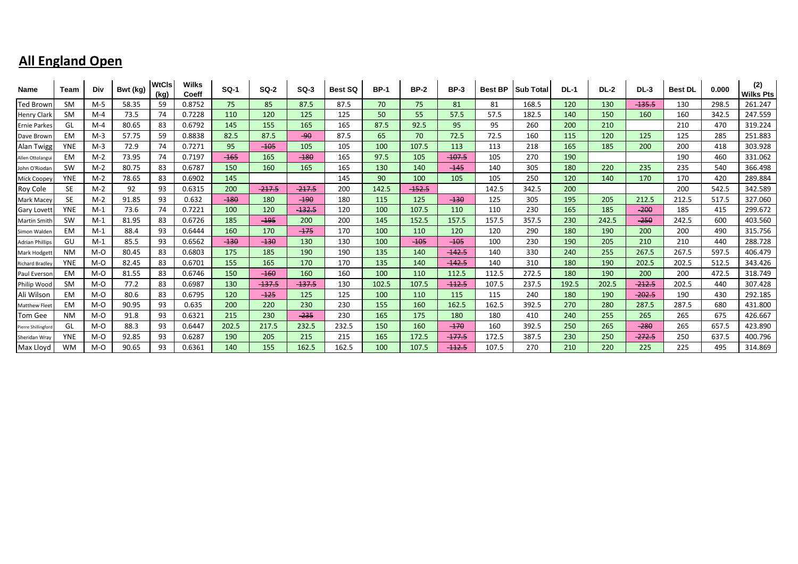| Name                   | Team       | Div   | Bwt (kg) | <b>WtCls</b><br>(kg) | <b>Wilks</b><br>Coeff | <b>SQ-1</b> | $SO-2$   | $SO-3$   | <b>Best SQ</b> | <b>BP-1</b> | <b>BP-2</b> | <b>BP-3</b> | <b>Best BP</b> | <b>Sub Total</b> | <b>DL-1</b> | <b>DL-2</b> | <b>DL-3</b> | <b>Best DL</b> | 0.000 | (2)<br><b>Wilks Pts</b> |
|------------------------|------------|-------|----------|----------------------|-----------------------|-------------|----------|----------|----------------|-------------|-------------|-------------|----------------|------------------|-------------|-------------|-------------|----------------|-------|-------------------------|
| <b>Ted Brown</b>       | SM         | M-5   | 58.35    | 59                   | 0.8752                | 75.         | 85       | 87.5     | 87.5           | 70          | 75          | 81          | 81             | 168.5            | 120         | 130         | $-135.5$    | 130            | 298.5 | 261.247                 |
| Henry Clark            | <b>SM</b>  | $M-4$ | 73.5     | 74                   | 0.7228                | 110         | 120      | 125      | 125            | 50          | 55          | 57.5        | 57.5           | 182.5            | 140         | 150         | 160         | 160            | 342.5 | 247.559                 |
| <b>Ernie Parkes</b>    | GL         | $M-4$ | 80.65    | 83                   | 0.6792                | 145         | 155      | 165      | 165            | 87.5        | 92.5        | 95          | 95             | 260              | 200         | 210         |             | 210            | 470   | 319.224                 |
| Dave Brown             | EM         | $M-3$ | 57.75    | 59                   | 0.8838                | 82.5        | 87.5     | $-90$    | 87.5           | 65          | 70          | 72.5        | 72.5           | 160              | 115         | 120         | 125         | 125            | 285   | 251.883                 |
| <b>Alan Twigg</b>      | <b>YNE</b> | $M-3$ | 72.9     | 74                   | 0.7271                | 95          | $-105$   | 105      | 105            | 100         | 107.5       | 113         | 113            | 218              | 165         | 185         | 200         | 200            | 418   | 303.928                 |
| Allen Ottolangu        | <b>EM</b>  | $M-2$ | 73.95    | 74                   | 0.7197                | $-165$      | 165      | $-180$   | 165            | 97.5        | 105         | $-107.5$    | 105            | 270              | 190         |             |             | 190            | 460   | 331.062                 |
| John O'Riodan          | <b>SW</b>  | $M-2$ | 80.75    | 83                   | 0.6787                | 150         | 160      | 165      | 165            | 130         | 140         | $-145$      | 140            | 305              | 180         | 220         | 235         | 235            | 540   | 366.498                 |
| Mick Coopey            | <b>YNE</b> | $M-2$ | 78.65    | 83                   | 0.6902                | 145         |          |          | 145            | 90          | 100         | 105         | 105            | 250              | 120         | 140         | 170         | 170            | 420   | 289.884                 |
| Roy Cole               | SE.        | $M-2$ | 92       | 93                   | 0.6315                | 200         | $-217.5$ | $-217.5$ | 200            | 142.5       | $-152.5$    |             | 142.5          | 342.5            | 200         |             |             | 200            | 542.5 | 342.589                 |
| Mark Macey             | <b>SE</b>  | $M-2$ | 91.85    | 93                   | 0.632                 | $-180$      | 180      | $-190$   | 180            | 115         | 125         | $-130$      | 125            | 305              | 195         | 205         | 212.5       | 212.5          | 517.5 | 327.060                 |
| <b>Gary Lovett</b>     | <b>YNE</b> | $M-1$ | 73.6     | 74                   | 0.7221                | 100         | 120      | $-132.5$ | 120            | 100         | 107.5       | 110         | 110            | 230              | 165         | 185         | $-200$      | 185            | 415   | 299.672                 |
| <b>Martin Smith</b>    | <b>SW</b>  | $M-1$ | 81.95    | 83                   | 0.6726                | 185         | $-195$   | 200      | 200            | 145         | 152.5       | 157.5       | 157.5          | 357.5            | 230         | 242.5       | $-250$      | 242.5          | 600   | 403.560                 |
| Simon Walden           | EM         | M-1   | 88.4     | 93                   | 0.6444                | 160         | 170      | $-175$   | 170            | 100         | 110         | 120         | 120            | 290              | 180         | 190         | 200         | 200            | 490   | 315.756                 |
| <b>Adrian Phillips</b> | GU         | $M-1$ | 85.5     | 93                   | 0.6562                | $-130$      | $-130$   | 130      | 130            | 100         | $-105$      | $-105$      | 100            | 230              | 190         | 205         | 210         | 210            | 440   | 288.728                 |
| Mark Hodgett           | <b>NM</b>  | M-O   | 80.45    | 83                   | 0.6803                | 175         | 185      | 190      | 190            | 135         | 140         | $-142.5$    | 140            | 330              | 240         | 255         | 267.5       | 267.5          | 597.5 | 406.479                 |
| <b>Richard Bradle</b>  | <b>YNE</b> | M-O   | 82.45    | 83                   | 0.6701                | 155         | 165      | 170      | 170            | 135         | 140         | $-142.5$    | 140            | 310              | 180         | 190         | 202.5       | 202.5          | 512.5 | 343.426                 |
| Paul Eversor           | EM         | M-O   | 81.55    | 83                   | 0.6746                | 150         | $-160$   | 160      | 160            | 100         | 110         | 112.5       | 112.5          | 272.5            | 180         | 190         | 200         | 200            | 472.5 | 318.749                 |
| Philip Wood            | <b>SM</b>  | M-O   | 77.2     | 83                   | 0.6987                | 130         | $-137.5$ | $-137.5$ | 130            | 102.5       | 107.5       | $-112.5$    | 107.5          | 237.5            | 192.5       | 202.5       | $-212.5$    | 202.5          | 440   | 307.428                 |
| Ali Wilson             | EM         | M-O   | 80.6     | 83                   | 0.6795                | 120         | $-125$   | 125      | 125            | 100         | 110         | 115         | 115            | 240              | 180         | 190         | $-202.5$    | 190            | 430   | 292.185                 |
| <b>Matthew Fleet</b>   | EM         | M-O   | 90.95    | 93                   | 0.635                 | 200         | 220      | 230      | 230            | 155         | 160         | 162.5       | 162.5          | 392.5            | 270         | 280         | 287.5       | 287.5          | 680   | 431.800                 |
| Tom Gee                | <b>NM</b>  | M-O   | 91.8     | 93                   | 0.6321                | 215         | 230      | $-235$   | 230            | 165         | 175         | 180         | 180            | 410              | 240         | 255         | 265         | 265            | 675   | 426.667                 |
| Pierre Shillingford    | GL         | M-O   | 88.3     | 93                   | 0.6447                | 202.5       | 217.5    | 232.5    | 232.5          | 150         | 160         | $-170$      | 160            | 392.5            | 250         | 265         | $-280$      | 265            | 657.5 | 423.890                 |
| Sheridan Wray          | <b>YNE</b> | M-O   | 92.85    | 93                   | 0.6287                | 190         | 205      | 215      | 215            | 165         | 172.5       | $-177.5$    | 172.5          | 387.5            | 230         | 250         | $-272.5$    | 250            | 637.5 | 400.796                 |
| Max Lloyd              | WM         | M-O   | 90.65    | 93                   | 0.6361                | 140         | 155      | 162.5    | 162.5          | 100         | 107.5       | $-112.5$    | 107.5          | 270              | 210         | 220         | 225         | 225            | 495   | 314.869                 |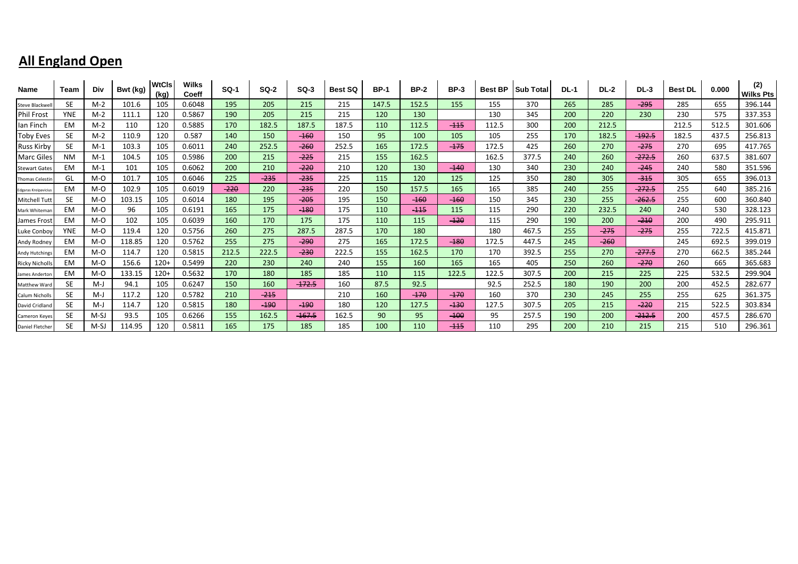| Name                  | Team       | <b>Div</b> | Bwt (kg) | <b>WtCls</b><br>(kg) | <b>Wilks</b><br>Coeff | <b>SQ-1</b> | <b>SQ-2</b> | $SO-3$   | <b>Best SQ</b> | <b>BP-1</b> | <b>BP-2</b> | <b>BP-3</b> | <b>Best BP</b> | <b>Sub Total</b> | <b>DL-1</b> | <b>DL-2</b> | <b>DL-3</b> | <b>Best DL</b> | 0.000 | (2)<br><b>Wilks Pts</b> |
|-----------------------|------------|------------|----------|----------------------|-----------------------|-------------|-------------|----------|----------------|-------------|-------------|-------------|----------------|------------------|-------------|-------------|-------------|----------------|-------|-------------------------|
| Steve Blackwel        | SE.        | $M-2$      | 101.6    | 105                  | 0.6048                | 195         | 205         | 215      | 215            | 147.5       | 152.5       | 155         | 155            | 370              | 265         | 285         | $-295$      | 285            | 655   | 396.144                 |
| <b>Phil Frost</b>     | <b>YNE</b> | $M-2$      | 111.1    | 120                  | 0.5867                | 190         | 205         | 215      | 215            | 120         | 130         |             | 130            | 345              | 200         | 220         | 230         | 230            | 575   | 337.353                 |
| lan Finch             | EM         | $M-2$      | 110      | 120                  | 0.5885                | 170         | 182.5       | 187.5    | 187.5          | 110         | 112.5       | $-115$      | 112.5          | 300              | 200         | 212.5       |             | 212.5          | 512.5 | 301.606                 |
| <b>Toby Eves</b>      | SE.        | $M-2$      | 110.9    | 120                  | 0.587                 | 140         | 150         | $-160$   | 150            | 95          | 100         | 105         | 105            | 255              | 170         | 182.5       | $-192.5$    | 182.5          | 437.5 | 256.813                 |
| <b>Russ Kirby</b>     | SE.        | $M-1$      | 103.3    | 105                  | 0.6011                | 240         | 252.5       | $-260$   | 252.5          | 165         | 172.5       | $-175$      | 172.5          | 425              | 260         | 270         | $-275$      | 270            | 695   | 417.765                 |
| <b>Marc Giles</b>     | <b>NM</b>  | $M-1$      | 104.5    | 105                  | 0.5986                | 200         | 215         | $-225$   | 215            | 155         | 162.5       |             | 162.5          | 377.5            | 240         | 260         | $-272.5$    | 260            | 637.5 | 381.607                 |
| <b>Stewart Gate:</b>  | EM         | $M-1$      | 101      | 105                  | 0.6062                | 200         | 210         | $-220$   | 210            | 120         | 130         | $-140$      | 130            | 340              | 230         | 240         | $-245$      | 240            | 580   | 351.596                 |
| <b>Thomas Celesti</b> | GL         | M-O        | 101.7    | 105                  | 0.6046                | 225         | $-235$      | $-235$   | 225            | 115         | 120         | 125         | 125            | 350              | 280         | 305         | $-315$      | 305            | 655   | 396.013                 |
| Edgaras Kreipaviciu   | EM         | M-O        | 102.9    | 105                  | 0.6019                | $-220$      | 220         | $-235$   | 220            | 150         | 157.5       | 165         | 165            | 385              | 240         | 255         | $-272.5$    | 255            | 640   | 385.216                 |
| Mitchell Tut          | SE.        | M-O        | 103.15   | 105                  | 0.6014                | 180         | 195         | $-205$   | 195            | 150         | $-160$      | $-160$      | 150            | 345              | 230         | 255         | $-262.5$    | 255            | 600   | 360.840                 |
| Mark Whitemar         | EM         | M-O        | 96       | 105                  | 0.6191                | 165         | 175         | $-180$   | 175            | 110         | $-115$      | 115         | 115            | 290              | 220         | 232.5       | 240         | 240            | 530   | 328.123                 |
| James Frost           | EM         | M-O        | 102      | 105                  | 0.6039                | 160         | 170         | 175      | 175            | 110         | 115         | $-120$      | 115            | 290              | 190         | 200         | $-210$      | 200            | 490   | 295.911                 |
| Luke Conboy           | <b>YNE</b> | M-O        | 119.4    | 120                  | 0.5756                | 260         | 275         | 287.5    | 287.5          | 170         | 180         |             | 180            | 467.5            | 255         | $-275$      | $-275$      | 255            | 722.5 | 415.871                 |
| Andy Rodney           | EM         | M-O        | 118.85   | 120                  | 0.5762                | 255         | 275         | $-290$   | 275            | 165         | 172.5       | $-180$      | 172.5          | 447.5            | 245         | $-260$      |             | 245            | 692.5 | 399.019                 |
| <b>Andy Hutchings</b> | <b>EM</b>  | M-O        | 114.7    | 120                  | 0.5815                | 212.5       | 222.5       | $-230$   | 222.5          | 155         | 162.5       | 170         | 170            | 392.5            | 255         | 270         | $-277.5$    | 270            | 662.5 | 385.244                 |
| <b>Ricky Nicholls</b> | EM         | M-O        | 156.6    | $120+$               | 0.5499                | 220         | 230         | 240      | 240            | 155         | 160         | 165         | 165            | 405              | 250         | 260         | $-270$      | 260            | 665   | 365.683                 |
| James Anderto         | EM         | M-O        | 133.15   | $120+$               | 0.5632                | 170         | 180         | 185      | 185            | 110         | 115         | 122.5       | 122.5          | 307.5            | 200         | 215         | 225         | 225            | 532.5 | 299.904                 |
| Matthew Ward          | <b>SE</b>  | M-J        | 94.1     | 105                  | 0.6247                | 150         | 160         | $-172.5$ | 160            | 87.5        | 92.5        |             | 92.5           | 252.5            | 180         | 190         | 200         | 200            | 452.5 | 282.677                 |
| Calum Nicholls        | <b>SE</b>  | $M-J$      | 117.2    | 120                  | 0.5782                | 210         | $-215$      |          | 210            | 160         | $-170$      | $-170$      | 160            | 370              | 230         | 245         | 255         | 255            | 625   | 361.375                 |
| David Cridland        | SE.        | $M-J$      | 114.7    | 120                  | 0.5815                | 180         | $-190$      | $-190$   | 180            | 120         | 127.5       | $-130$      | 127.5          | 307.5            | 205         | 215         | $-220$      | 215            | 522.5 | 303.834                 |
| <b>Cameron Keyes</b>  | <b>SE</b>  | M-SJ       | 93.5     | 105                  | 0.6266                | 155         | 162.5       | $-167.5$ | 162.5          | 90          | 95          | $-100$      | 95             | 257.5            | 190         | 200         | $-212.5$    | 200            | 457.5 | 286.670                 |
| Daniel Fletcher       | <b>SE</b>  | M-SJ       | 114.95   | 120                  | 0.5811                | 165         | 175         | 185      | 185            | 100         | 110         | $-115$      | 110            | 295              | 200         | 210         | 215         | 215            | 510   | 296.361                 |